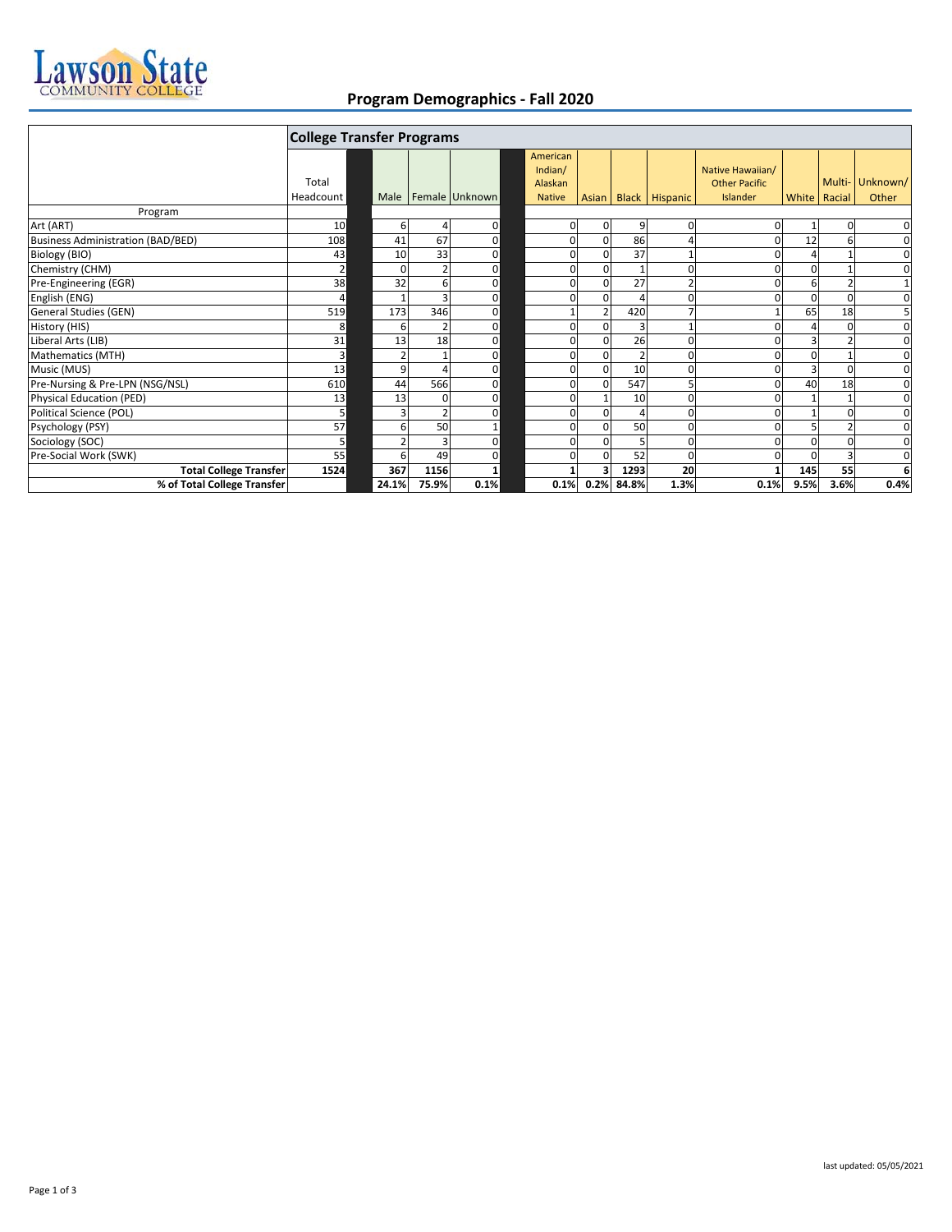

## **Program Demographics - Fall 2020**

|                                          | <b>College Transfer Programs</b> |       |       |                         |               |       |                 |                       |                      |                |        |              |
|------------------------------------------|----------------------------------|-------|-------|-------------------------|---------------|-------|-----------------|-----------------------|----------------------|----------------|--------|--------------|
|                                          |                                  |       |       |                         | American      |       |                 |                       |                      |                |        |              |
|                                          |                                  |       |       |                         | Indian/       |       |                 |                       | Native Hawaiian/     |                |        |              |
|                                          | Total                            |       |       |                         | Alaskan       |       |                 |                       | <b>Other Pacific</b> |                | Multi- | Unknown/     |
|                                          | Headcount                        |       |       | Male   Female   Unknown | <b>Native</b> | Asian |                 | <b>Black Hispanic</b> | Islander             | White Racial   |        | Other        |
| Program                                  |                                  |       |       |                         |               |       |                 |                       |                      |                |        |              |
| Art (ART)                                | 10                               |       | 6     | 0                       | 0             |       | 9               | 0                     |                      |                |        | 0            |
| <b>Business Administration (BAD/BED)</b> | 108                              | 41    | 67    | 0                       | 0             |       | 86              | $\overline{4}$        |                      | 12             | 6      | $\mathbf 0$  |
| Biology (BIO)                            | 43                               | 10    | 33    | 0                       | $\Omega$      |       | 37              |                       |                      |                |        | 0            |
| Chemistry (CHM)                          | $\overline{2}$                   |       |       | $\mathbf 0$             | $\Omega$      |       |                 | $\Omega$              | U                    | $\Omega$       |        | 0            |
| Pre-Engineering (EGR)                    | 38                               | 32    | ь     | 0                       | O             |       | 27              |                       |                      | 6              |        | $\mathbf{1}$ |
| English (ENG)                            | 4                                |       |       | $\mathbf{0}$            | O             |       |                 | 0                     |                      | $\overline{0}$ | 0      | $\pmb{0}$    |
| General Studies (GEN)                    | 519                              | 173   | 346   | $\mathbf 0$             |               |       | 420             |                       |                      | 65             | 18     | 5            |
| History (HIS)                            | 8                                |       |       | 0                       | $\Omega$      |       |                 |                       |                      |                | n      | $\mathbf 0$  |
| Liberal Arts (LIB)                       | 31                               | 13    | 18    | 0                       | O             |       | 26              |                       |                      |                |        | 0            |
| Mathematics (MTH)                        | 3 <sup>1</sup>                   |       |       | 0                       | $\Omega$      |       |                 | $\Omega$              |                      |                |        | $\pmb{0}$    |
| Music (MUS)                              | 13                               |       | q     | 0                       | 0             |       | 10              | $\Omega$              |                      | 3              | O      | 0            |
| Pre-Nursing & Pre-LPN (NSG/NSL)          | 610                              | 44    | 566   | 0                       | $\Omega$      |       | 547             | 5                     | n                    | 40             | 18     | $\mathbf 0$  |
| Physical Education (PED)                 | 13                               | 13    | 0     | 0                       | O             |       | 10              | $\Omega$              |                      |                |        | 0            |
| Political Science (POL)                  | 5                                |       |       | 0                       | 0             |       |                 | $\Omega$              |                      |                | O      | 0            |
| Psychology (PSY)                         | 57                               |       | 50    | $\mathbf{1}$            | 0             |       | 50              | 0                     |                      | 5              |        | 0            |
| Sociology (SOC)                          | 5 <sub>l</sub>                   |       | З     | 0                       | 0             |       |                 | 0                     |                      | $\Omega$       |        | 0            |
| Pre-Social Work (SWK)                    | 55                               |       | 49    | 0                       |               |       | 52              | $\Omega$              |                      |                |        | $\mathbf 0$  |
| <b>Total College Transfer</b>            | 1524                             | 367   | 1156  |                         |               |       | 1293            | 20                    |                      | 145            | 55     | 6            |
| % of Total College Transfer              |                                  | 24.1% | 75.9% | 0.1%                    |               |       | 0.1% 0.2% 84.8% | 1.3%                  | 0.1%                 | 9.5%           | 3.6%   | 0.4%         |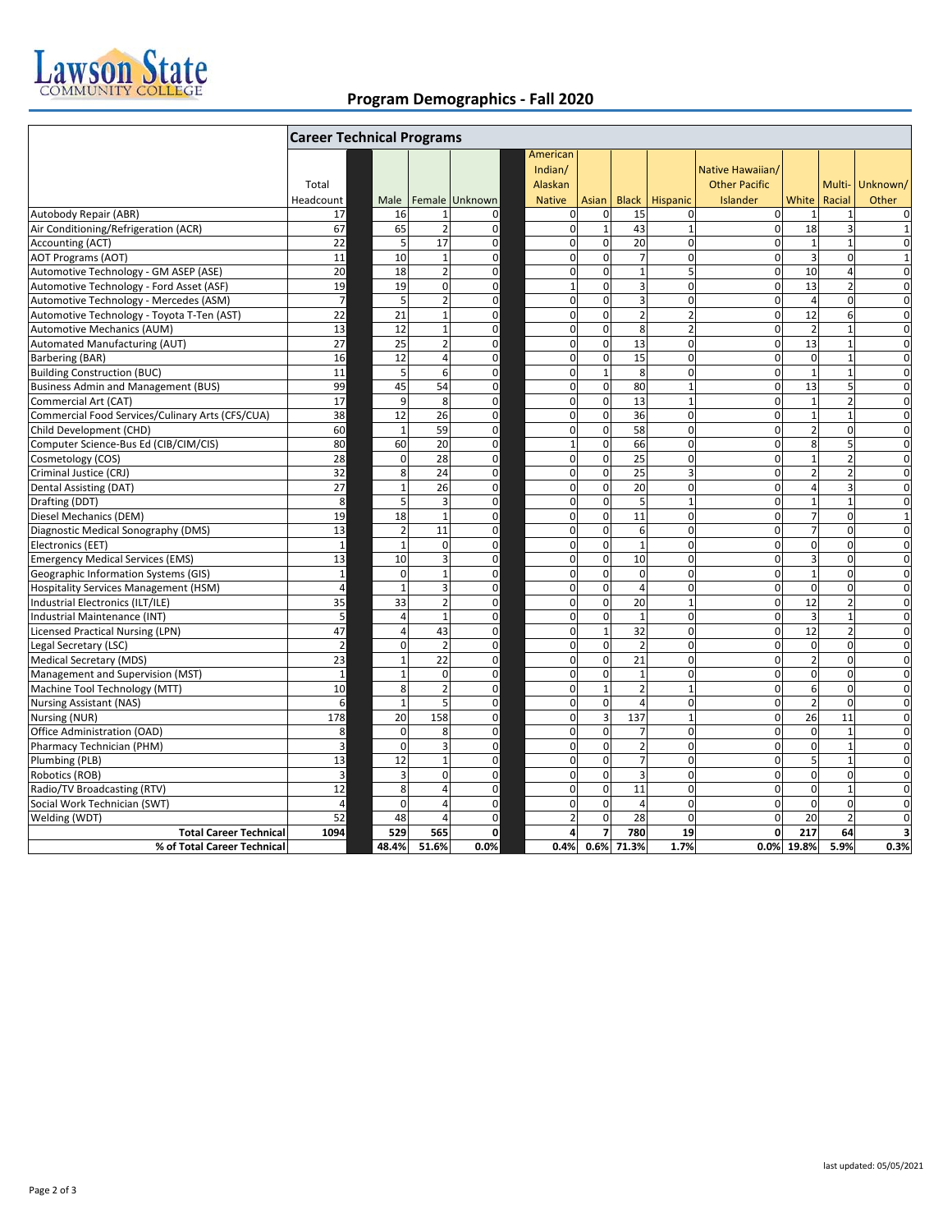

## **Program Demographics - Fall 2020**

|                                                  | <b>Career Technical Programs</b> |                          |                 |                  |  |                                                 |                         |                 |                |                                                      |                         |                |                          |
|--------------------------------------------------|----------------------------------|--------------------------|-----------------|------------------|--|-------------------------------------------------|-------------------------|-----------------|----------------|------------------------------------------------------|-------------------------|----------------|--------------------------|
|                                                  | Total<br>Headcount               | Male                     |                 | Female Unknown   |  | American<br>Indian/<br>Alaskan<br><b>Native</b> | Asian                   | <b>Black</b>    | Hispanic       | Native Hawaiian/<br><b>Other Pacific</b><br>Islander | White                   | Racial         | Multi- Unknown/<br>Other |
| Autobody Repair (ABR)                            | 17                               | 16                       |                 | 0                |  | $\mathbf 0$                                     | $\mathbf 0$             | 15              | $\mathbf 0$    | 0                                                    |                         |                | 0                        |
| Air Conditioning/Refrigeration (ACR)             | 67                               | 65                       | $\overline{2}$  | $\pmb{0}$        |  | $\overline{0}$                                  | $\mathbf{1}$            | 43              | $\mathbf 1$    | $\mathbf 0$                                          | 18                      | 3              | $\mathbf{1}$             |
| Accounting (ACT)                                 | 22                               | 5                        | 17              | $\mathbf 0$      |  | $\mathbf{0}$                                    | $\mathbf 0$             | $\overline{20}$ | $\mathbf 0$    | $\mathbf 0$                                          | $\mathbf{1}$            | $\mathbf{1}$   | $\mathbf 0$              |
| AOT Programs (AOT)                               | 11                               | 10                       | $\mathbf{1}$    | $\mathbf 0$      |  | $\mathbf{0}$                                    | $\mathbf{0}$            | $\overline{7}$  | $\mathbf 0$    | $\mathbf 0$                                          | $\overline{\mathbf{3}}$ | $\mathbf 0$    | $\mathbf{1}$             |
| Automotive Technology - GM ASEP (ASE)            | 20                               | 18                       | $\overline{2}$  | $\mathbf 0$      |  | $\pmb{0}$                                       | $\mathbf 0$             | $\mathbf 1$     | 5              | $\mathbf 0$                                          | 10                      | $\overline{4}$ | $\mathbf 0$              |
| Automotive Technology - Ford Asset (ASF)         | 19                               | 19                       | $\mathbf{0}$    | $\mathbf 0$      |  | $\mathbf 1$                                     | $\overline{0}$          | 3               | $\pmb{0}$      | $\mathbf 0$                                          | 13                      | $\overline{2}$ | 0                        |
| Automotive Technology - Mercedes (ASM)           | $\overline{7}$                   | 5                        | $\overline{2}$  | $\mathbf 0$      |  | $\mathbf 0$                                     | $\mathbf 0$             | 3               | $\mathbf 0$    | $\mathbf 0$                                          | $\overline{4}$          | $\mathbf 0$    | $\mathbf 0$              |
| Automotive Technology - Toyota T-Ten (AST)       | 22                               | 21                       | $\mathbf{1}$    | $\mathbf 0$      |  | $\mathbf 0$                                     | $\mathbf 0$             | $\overline{2}$  | $\overline{2}$ | 0                                                    | 12                      | 6              | $\mathbf 0$              |
| Automotive Mechanics (AUM)                       | 13                               | 12                       |                 | 0                |  | $\mathbf 0$                                     | $\mathbf 0$             | 8               | $\overline{2}$ | $\Omega$                                             | $\overline{2}$          | $\overline{1}$ | $\mathbf 0$              |
| Automated Manufacturing (AUT)                    | 27                               | 25                       |                 | 0                |  | $\mathbf 0$                                     | $\Omega$                | 13              | $\Omega$       | $\mathbf 0$                                          | 13                      |                | $\mathbf 0$              |
| Barbering (BAR)                                  | 16                               | 12                       | 4               | 0                |  | $\mathbf 0$                                     | $\mathbf 0$             | 15              | $\mathbf 0$    | 0                                                    | $\mathbf 0$             | $\overline{1}$ | $\mathbf 0$              |
| <b>Building Construction (BUC)</b>               | 11                               | 5                        | 6               | $\mathbf 0$      |  | $\overline{0}$                                  | $\mathbf{1}$            | 8               | $\pmb{0}$      | $\mathbf 0$                                          | $\mathbf{1}$            | $\mathbf{1}$   | $\mathbf 0$              |
| <b>Business Admin and Management (BUS)</b>       | 99                               | 45                       | 54              | $\mathbf 0$      |  | $\overline{0}$                                  | $\mathbf 0$             | 80              | $\mathbf 1$    | 0                                                    | 13                      | 5              | $\mathbf 0$              |
| Commercial Art (CAT)                             | 17                               | 9                        | 8               | $\mathbf 0$      |  | $\overline{0}$                                  | $\mathbf 0$             | 13              | $\mathbf 1$    | 0                                                    | $\mathbf{1}$            | $\overline{2}$ | $\mathbf 0$              |
| Commercial Food Services/Culinary Arts (CFS/CUA) | 38                               | 12                       | 26              | $\mathbf 0$      |  | $\mathbf 0$                                     | $\pmb{0}$               | 36              | $\mathbf 0$    | 0                                                    | $\mathbf{1}$            | $\overline{1}$ | $\mathbf 0$              |
| Child Development (CHD)                          | 60                               | $\overline{1}$           | 59              | $\pmb{0}$        |  | $\mathbf 0$                                     | $\mathbf 0$             | 58              | $\pmb{0}$      | $\mathbf 0$                                          | $\overline{2}$          | $\mathbf 0$    | $\mathbf 0$              |
| Computer Science-Bus Ed (CIB/CIM/CIS)            | 80                               | 60                       | $\overline{20}$ | $\mathbf 0$      |  | $\mathbf 1$                                     | $\overline{0}$          | 66              | $\mathbf 0$    | $\Omega$                                             | $\overline{8}$          | 5              | $\mathbf 0$              |
| Cosmetology (COS)                                | 28                               | $\Omega$                 | 28              | $\mathbf 0$      |  | $\mathbf 0$                                     | $\mathbf 0$             | 25              | $\mathbf 0$    | $\Omega$                                             | $\mathbf{1}$            | $\overline{2}$ | $\mathbf 0$              |
| Criminal Justice (CRJ)                           | 32                               | 8                        | 24              | $\pmb{0}$        |  | $\mathbf 0$                                     | $\mathbf{0}$            | 25              | 3              | $\Omega$                                             | $\overline{2}$          | $\overline{a}$ | $\mathbf 0$              |
| Dental Assisting (DAT)                           | 27                               | $\mathbf{1}$             | 26              | $\mathbf 0$      |  | $\mathbf 0$                                     | $\mathbf 0$             | 20              | $\mathbf 0$    | 0                                                    | $\overline{4}$          | 3              | $\mathbf 0$              |
| Drafting (DDT)                                   | 8                                | 5                        | $\overline{3}$  | $\mathbf 0$      |  | $\mathbf{0}$                                    | $\mathbf 0$             | 5               | $\mathbf 1$    | 0                                                    | $\mathbf{1}$            | $\mathbf{1}$   | $\mathbf 0$              |
| Diesel Mechanics (DEM)                           | 19                               | 18                       | $\mathbf{1}$    | $\mathbf 0$      |  | $\mathbf 0$                                     | $\mathbf 0$             | 11              | $\mathbf 0$    | 0                                                    | $\overline{7}$          | $\mathbf 0$    | $\mathbf{1}$             |
|                                                  | 13                               | $\overline{2}$           | 11              | $\pmb{0}$        |  | $\mathbf 0$                                     | $\overline{0}$          | 6               | $\Omega$       | 0                                                    | $\overline{7}$          | $\mathbf 0$    | $\mathbf 0$              |
| Diagnostic Medical Sonography (DMS)              | $\mathbf{1}$                     | $\overline{\phantom{0}}$ | $\Omega$        |                  |  | $\mathbf 0$                                     | $\mathbf 0$             | $\mathbf{1}$    | $\Omega$       | 0                                                    | $\mathbf 0$             | $\Omega$       | $\mathbf 0$              |
| Electronics (EET)                                | 13                               | 10                       |                 | $\mathbf 0$<br>0 |  | $\mathbf 0$                                     | $\Omega$                | 10              | $\Omega$       | 0                                                    | 3                       | $\Omega$       | $\Omega$                 |
| <b>Emergency Medical Services (EMS)</b>          |                                  |                          |                 |                  |  |                                                 |                         |                 |                |                                                      | $\mathbf{1}$            |                |                          |
| Geographic Information Systems (GIS)             | $\mathbf 1$                      | $\Omega$                 | 1               | 0                |  | $\mathbf 0$                                     | $\Omega$                | $\mathbf 0$     | $\Omega$       | 0                                                    |                         | $\Omega$       | $\Omega$                 |
| <b>Hospitality Services Management (HSM)</b>     | $\overline{4}$                   | 1                        | 3               | $\pmb{0}$        |  | $\mathbf 0$                                     | $\mathbf 0$             | $\overline{4}$  | $\mathbf 0$    | 0                                                    | $\mathbf 0$             | $\mathbf 0$    | $\mathbf 0$              |
| Industrial Electronics (ILT/ILE)                 | 35                               | 33                       |                 | 0                |  | $\mathbf 0$                                     | $\mathbf 0$             | 20              | $\mathbf{1}$   | 0                                                    | 12                      | $\overline{2}$ | $\mathbf 0$              |
| Industrial Maintenance (INT)                     | 5                                | 4                        | $\mathbf{1}$    | $\mathbf 0$      |  | $\overline{0}$                                  | $\mathbf 0$             | $\mathbf{1}$    | $\pmb{0}$      | 0                                                    | 3                       | $\overline{1}$ | $\mathbf 0$              |
| <b>Licensed Practical Nursing (LPN)</b>          | 47                               | 4                        | 43              | $\mathbf 0$      |  | $\mathbf 0$                                     | $\mathbf{1}$            | 32              | $\mathbf 0$    | $\mathbf 0$                                          | 12                      | $\overline{2}$ | $\mathbf 0$              |
| Legal Secretary (LSC)                            | $\overline{2}$                   | $\Omega$                 | $\overline{2}$  | $\mathbf 0$      |  | $\overline{0}$                                  | $\mathbf 0$             | $\overline{2}$  | $\pmb{0}$      | 0                                                    | $\mathbf 0$             | $\mathbf 0$    | $\mathbf 0$              |
| Medical Secretary (MDS)                          | 23                               | 1                        | 22              | $\mathbf 0$      |  | $\mathbf 0$                                     | $\overline{0}$          | 21              | $\mathbf 0$    | $\mathbf 0$                                          | $\overline{2}$          | $\Omega$       | $\mathbf 0$              |
| Management and Supervision (MST)                 | $\mathbf{1}$                     | 1                        | $\mathbf 0$     | $\mathbf 0$      |  | $\mathbf 0$                                     | $\mathbf{0}$            | 1               | $\mathbf 0$    | 0                                                    | $\mathbf 0$             | $\mathbf 0$    | $\mathbf 0$              |
| Machine Tool Technology (MTT)                    | 10                               | 8                        | $\overline{2}$  | $\mathbf 0$      |  | $\mathbf 0$                                     | $\mathbf{1}$            | $\overline{a}$  | $\mathbf{1}$   | $\Omega$                                             | 6                       | $\Omega$       | $\mathbf 0$              |
| <b>Nursing Assistant (NAS)</b>                   | 6                                | $\mathbf{1}$             | 5               | $\mathbf 0$      |  | $\overline{0}$                                  | $\mathbf 0$             | $\overline{4}$  | $\mathbf 0$    | $\mathbf 0$                                          | $\overline{2}$          | $\mathbf 0$    | $\mathbf 0$              |
| Nursing (NUR)                                    | 178                              | 20                       | 158             | $\mathbf 0$      |  | $\overline{0}$                                  | $\overline{\mathbf{3}}$ | 137             | $\mathbf{1}$   | 0                                                    | 26                      | 11             | $\mathbf 0$              |
| Office Administration (OAD)                      | 8                                | $\mathbf 0$              | 8               | $\mathbf 0$      |  | $\overline{0}$                                  | $\mathbf 0$             | $\overline{7}$  | $\pmb{0}$      | $\mathbf 0$                                          | $\mathbf 0$             | $\mathbf{1}$   | $\mathbf 0$              |
| Pharmacy Technician (PHM)                        | 3                                | $\mathbf 0$              | 3               | $\mathbf 0$      |  | $\mathbf 0$                                     | $\mathbf{0}$            | $\overline{a}$  | $\mathbf 0$    | $\mathbf 0$                                          | $\mathbf 0$             | $\overline{1}$ | $\mathbf 0$              |
| Plumbing (PLB)                                   | 13                               | 12                       | $\mathbf{1}$    | $\mathbf 0$      |  | $\mathbf 0$                                     | $\mathbf{0}$            | $\overline{7}$  | $\mathbf 0$    | 0                                                    | $\overline{5}$          | $\overline{1}$ | $\mathbf 0$              |
| Robotics (ROB)                                   | 3                                | 3                        | $\Omega$        | $\mathbf 0$      |  | $\mathbf 0$                                     | $\Omega$                | 3               | $\Omega$       | $\Omega$                                             | $\mathbf 0$             | $\Omega$       | $\Omega$                 |
| Radio/TV Broadcasting (RTV)                      | 12                               | 8                        | 4               | $\mathbf 0$      |  | $\Omega$                                        | $\Omega$                | 11              | $\Omega$       | 0                                                    | $\mathbf 0$             | $\overline{1}$ | $\Omega$                 |
| Social Work Technician (SWT)                     | $\overline{4}$                   | $\mathbf 0$              | 4               | 0                |  | $\mathbf 0$                                     | $\mathbf 0$             | $\overline{4}$  | $\mathbf 0$    | 0                                                    | $\mathbf 0$             | $\mathbf 0$    | $\mathbf 0$              |
| Welding (WDT)                                    | 52                               | 48                       | 4               | 0                |  | $\overline{2}$                                  | $\mathbf 0$             | 28              | $\mathbf 0$    | 0                                                    | 20                      | $\overline{2}$ | $\mathbf 0$              |
| <b>Total Career Technical</b>                    | 1094                             | 529                      | 565             | $\mathbf 0$      |  | 4                                               | $\overline{7}$          | 780             | 19             | 0                                                    | 217                     | 64             | $\overline{\mathbf{3}}$  |
| % of Total Career Technical                      |                                  | 48.4%                    | 51.6%           | 0.0%             |  | 0.4%                                            |                         | 0.6% 71.3%      | 1.7%           | 0.0%                                                 | 19.8%                   | 5.9%           | 0.3%                     |